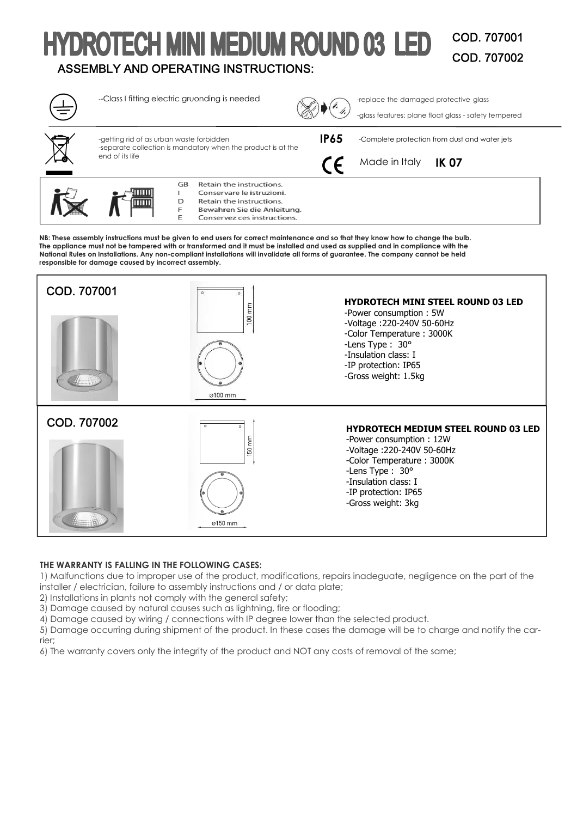## **HYDROTECH MINI MEDIUM ROUND 03 LED** COD. 707001 COD. 707002 ASSEMBLY AND OPERATING INSTRUCTIONS:



**NB: These assembly instructions must be given to end users for correct maintenance and so that they know how to change the bulb. The appliance must not be tampered with or transformed and it must be installed and used as supplied and in compliance with the National Rules on Installations. Any non-compliant installations will invalidate all forms of guarantee. The company cannot be held responsible for damage caused by incorrect assembly.** 



# **THE WARRANTY IS FALLING IN THE FOLLOWING CASES:**

1) Malfunctions due to improper use of the product, modifications, repairs inadeguate, negligence on the part of the installer / electrician, failure to assembly instructions and / or data plate;

2) Installations in plants not comply with the general safety;

3) Damage caused by natural causes such as lightning, fire or flooding;

4) Damage caused by wiring / connections with IP degree lower than the selected product.

5) Damage occurring during shipment of the product. In these cases the damage will be to charge and notify the carrier;

6) The warranty covers only the integrity of the product and NOT any costs of removal of the same;